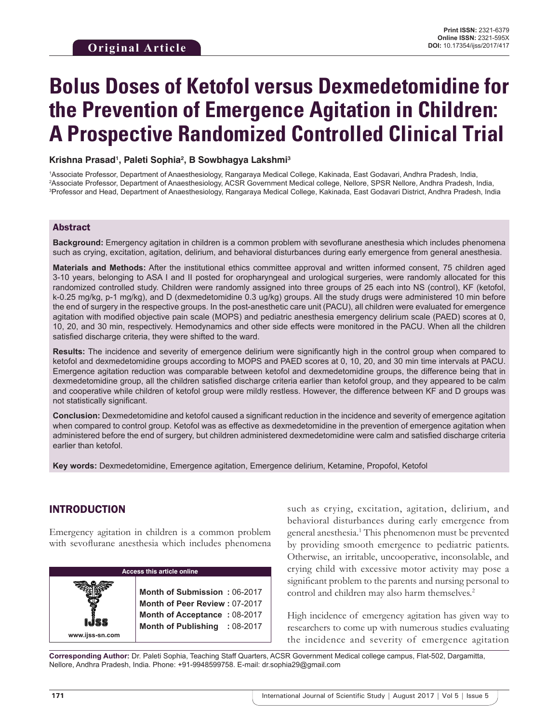# **Bolus Doses of Ketofol versus Dexmedetomidine for the Prevention of Emergence Agitation in Children: A Prospective Randomized Controlled Clinical Trial**

### **Krishna Prasad1 , Paleti Sophia2 , B Sowbhagya Lakshmi3**

1 Associate Professor, Department of Anaesthesiology, Rangaraya Medical College, Kakinada, East Godavari, Andhra Pradesh, India, 2 Associate Professor, Department of Anaesthesiology, ACSR Government Medical college, Nellore, SPSR Nellore, Andhra Pradesh, India, 3 Professor and Head, Department of Anaesthesiology, Rangaraya Medical College, Kakinada, East Godavari District, Andhra Pradesh, India

### Abstract

**Background:** Emergency agitation in children is a common problem with sevoflurane anesthesia which includes phenomena such as crying, excitation, agitation, delirium, and behavioral disturbances during early emergence from general anesthesia.

**Materials and Methods:** After the institutional ethics committee approval and written informed consent, 75 children aged 3-10 years, belonging to ASA I and II posted for oropharyngeal and urological surgeries, were randomly allocated for this randomized controlled study. Children were randomly assigned into three groups of 25 each into NS (control), KF (ketofol, k-0.25 mg/kg, p-1 mg/kg), and D (dexmedetomidine 0.3 ug/kg) groups. All the study drugs were administered 10 min before the end of surgery in the respective groups. In the post-anesthetic care unit (PACU), all children were evaluated for emergence agitation with modified objective pain scale (MOPS) and pediatric anesthesia emergency delirium scale (PAED) scores at 0, 10, 20, and 30 min, respectively. Hemodynamics and other side effects were monitored in the PACU. When all the children satisfied discharge criteria, they were shifted to the ward.

**Results:** The incidence and severity of emergence delirium were significantly high in the control group when compared to ketofol and dexmedetomidine groups according to MOPS and PAED scores at 0, 10, 20, and 30 min time intervals at PACU. Emergence agitation reduction was comparable between ketofol and dexmedetomidine groups, the difference being that in dexmedetomidine group, all the children satisfied discharge criteria earlier than ketofol group, and they appeared to be calm and cooperative while children of ketofol group were mildly restless. However, the difference between KF and D groups was not statistically significant.

**Conclusion:** Dexmedetomidine and ketofol caused a significant reduction in the incidence and severity of emergence agitation when compared to control group. Ketofol was as effective as dexmedetomidine in the prevention of emergence agitation when administered before the end of surgery, but children administered dexmedetomidine were calm and satisfied discharge criteria earlier than ketofol.

**Key words:** Dexmedetomidine, Emergence agitation, Emergence delirium, Ketamine, Propofol, Ketofol

# INTRODUCTION

Emergency agitation in children is a common problem with sevoflurane anesthesia which includes phenomena

| <b>Access this article online</b> |                                                                                                                                |  |  |  |
|-----------------------------------|--------------------------------------------------------------------------------------------------------------------------------|--|--|--|
| www.ijss-sn.com                   | Month of Submission: 06-2017<br>Month of Peer Review: 07-2017<br>Month of Acceptance: 08-2017<br>Month of Publishing : 08-2017 |  |  |  |

such as crying, excitation, agitation, delirium, and behavioral disturbances during early emergence from general anesthesia.<sup>1</sup> This phenomenon must be prevented by providing smooth emergence to pediatric patients. Otherwise, an irritable, uncooperative, inconsolable, and crying child with excessive motor activity may pose a significant problem to the parents and nursing personal to control and children may also harm themselves.<sup>2</sup>

High incidence of emergency agitation has given way to researchers to come up with numerous studies evaluating the incidence and severity of emergence agitation

**Corresponding Author:** Dr. Paleti Sophia, Teaching Staff Quarters, ACSR Government Medical college campus, Flat-502, Dargamitta, Nellore, Andhra Pradesh, India. Phone: +91-9948599758. E-mail: dr.sophia29@gmail.com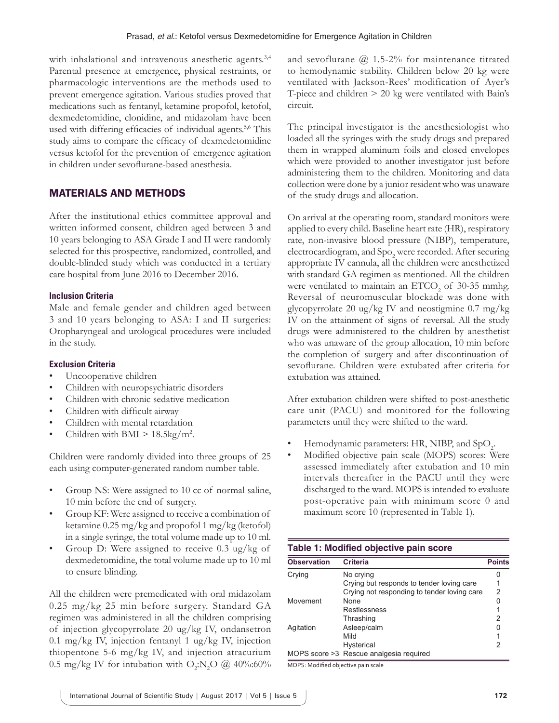with inhalational and intravenous anesthetic agents.<sup>3,4</sup> Parental presence at emergence, physical restraints, or pharmacologic interventions are the methods used to prevent emergence agitation. Various studies proved that medications such as fentanyl, ketamine propofol, ketofol, dexmedetomidine, clonidine, and midazolam have been used with differing efficacies of individual agents.<sup>5,6</sup> This study aims to compare the efficacy of dexmedetomidine versus ketofol for the prevention of emergence agitation in children under sevoflurane-based anesthesia.

# MATERIALS AND METHODS

After the institutional ethics committee approval and written informed consent, children aged between 3 and 10 years belonging to ASA Grade I and II were randomly selected for this prospective, randomized, controlled, and double-blinded study which was conducted in a tertiary care hospital from June 2016 to December 2016.

## **Inclusion Criteria**

Male and female gender and children aged between 3 and 10 years belonging to ASA: I and II surgeries: Oropharyngeal and urological procedures were included in the study.

## **Exclusion Criteria**

- Uncooperative children
- Children with neuropsychiatric disorders
- Children with chronic sedative medication
- Children with difficult airway
- Children with mental retardation
- Children with BMI  $> 18.5 \text{kg/m}^2$ .

Children were randomly divided into three groups of 25 each using computer-generated random number table.

- Group NS: Were assigned to 10 cc of normal saline, 10 min before the end of surgery.
- Group KF: Were assigned to receive a combination of ketamine 0.25 mg/kg and propofol 1 mg/kg (ketofol) in a single syringe, the total volume made up to 10 ml.
- Group D: Were assigned to receive  $0.3 \text{ ug/kg of}$ dexmedetomidine, the total volume made up to 10 ml to ensure blinding.

All the children were premedicated with oral midazolam 0.25 mg/kg 25 min before surgery. Standard GA regimen was administered in all the children comprising of injection glycopyrrolate 20 ug/kg IV, ondansetron 0.1 mg/kg IV, injection fentanyl 1 ug/kg IV, injection thiopentone 5-6 mg/kg IV, and injection atracurium 0.5 mg/kg IV for intubation with  $O_2:N_2O$  @ 40%:60% and sevoflurane  $\omega$  1.5-2% for maintenance titrated to hemodynamic stability. Children below 20 kg were ventilated with Jackson-Rees' modification of Ayer's T-piece and children > 20 kg were ventilated with Bain's circuit.

The principal investigator is the anesthesiologist who loaded all the syringes with the study drugs and prepared them in wrapped aluminum foils and closed envelopes which were provided to another investigator just before administering them to the children. Monitoring and data collection were done by a junior resident who was unaware of the study drugs and allocation.

On arrival at the operating room, standard monitors were applied to every child. Baseline heart rate (HR), respiratory rate, non-invasive blood pressure (NIBP), temperature, electrocardiogram, and  $\mathrm{Spo}_2$  were recorded. After securing appropriate IV cannula, all the children were anesthetized with standard GA regimen as mentioned. All the children were ventilated to maintain an  $ETCO_2$  of 30-35 mmhg. Reversal of neuromuscular blockade was done with glycopyrrolate 20 ug/kg IV and neostigmine 0.7 mg/kg IV on the attainment of signs of reversal. All the study drugs were administered to the children by anesthetist who was unaware of the group allocation, 10 min before the completion of surgery and after discontinuation of sevoflurane. Children were extubated after criteria for extubation was attained.

After extubation children were shifted to post-anesthetic care unit (PACU) and monitored for the following parameters until they were shifted to the ward.

- Hemodynamic parameters: HR, NIBP, and  $SpO<sub>2</sub>$ .
- Modified objective pain scale (MOPS) scores: Were assessed immediately after extubation and 10 min intervals thereafter in the PACU until they were discharged to the ward. MOPS is intended to evaluate post-operative pain with minimum score 0 and maximum score 10 (represented in Table 1).

#### **Table 1: Modified objective pain score**

| <b>Observation</b> | <b>Criteria</b>                             | <b>Points</b> |
|--------------------|---------------------------------------------|---------------|
| Crying             | No crying                                   | 0             |
|                    | Crying but responds to tender loving care   | 1             |
|                    | Crying not responding to tender loving care | 2             |
| Movement           | None                                        | 0             |
|                    | Restlessness                                |               |
|                    | Thrashing                                   | 2             |
| Agitation          | Asleep/calm                                 | 0             |
|                    | Mild                                        |               |
|                    | <b>Hysterical</b>                           | 2             |
|                    | MOPS score >3 Rescue analgesia required     |               |

MOPS: Modified objective pain scale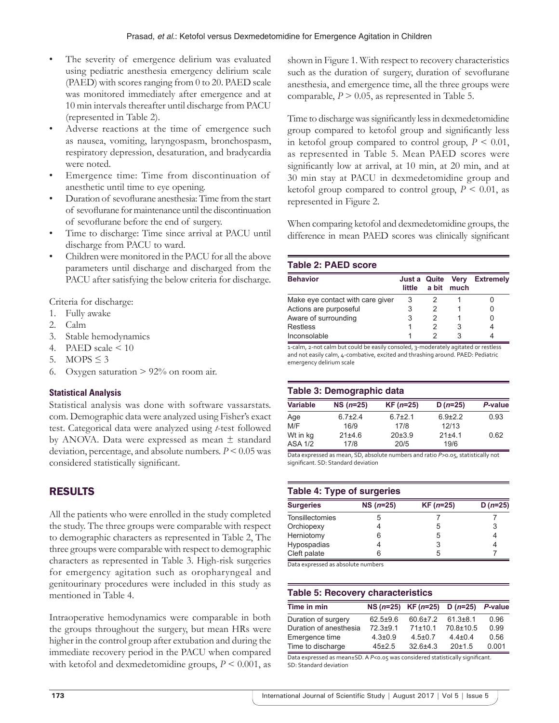- The severity of emergence delirium was evaluated using pediatric anesthesia emergency delirium scale (PAED) with scores ranging from 0 to 20. PAED scale was monitored immediately after emergence and at 10 min intervals thereafter until discharge from PACU (represented in Table 2).
- Adverse reactions at the time of emergence such as nausea, vomiting, laryngospasm, bronchospasm, respiratory depression, desaturation, and bradycardia were noted.
- Emergence time: Time from discontinuation of anesthetic until time to eye opening.
- Duration of sevoflurane anesthesia: Time from the start of sevoflurane for maintenance until the discontinuation of sevoflurane before the end of surgery.
- Time to discharge: Time since arrival at PACU until discharge from PACU to ward.
- Children were monitored in the PACU for all the above parameters until discharge and discharged from the PACU after satisfying the below criteria for discharge.

Criteria for discharge:

- 1. Fully awake
- 2. Calm
- 3. Stable hemodynamics
- 4. PAED scale  $\leq 10$
- 5. MOPS  $\leq$  3
- 6. Oxygen saturation  $> 92\%$  on room air.

## **Statistical Analysis**

Statistical analysis was done with software vassarstats. com. Demographic data were analyzed using Fisher's exact test. Categorical data were analyzed using *t*-test followed by ANOVA. Data were expressed as mean ± standard deviation, percentage, and absolute numbers. *P* < 0.05 was considered statistically significant.

# RESULTS

All the patients who were enrolled in the study completed the study. The three groups were comparable with respect to demographic characters as represented in Table 2, The three groups were comparable with respect to demographic characters as represented in Table 3. High-risk surgeries for emergency agitation such as oropharyngeal and genitourinary procedures were included in this study as mentioned in Table 4.

Intraoperative hemodynamics were comparable in both the groups throughout the surgery, but mean HRs were higher in the control group after extubation and during the immediate recovery period in the PACU when compared with ketofol and dexmedetomidine groups,  $P \leq 0.001$ , as shown in Figure 1. With respect to recovery characteristics such as the duration of surgery, duration of sevoflurane anesthesia, and emergence time, all the three groups were comparable,  $P > 0.05$ , as represented in Table 5.

Time to discharge was significantly less in dexmedetomidine group compared to ketofol group and significantly less in ketofol group compared to control group,  $P \leq 0.01$ , as represented in Table 5. Mean PAED scores were significantly low at arrival, at 10 min, at 20 min, and at 30 min stay at PACU in dexmedetomidine group and ketofol group compared to control group,  $P \leq 0.01$ , as represented in Figure 2.

When comparing ketofol and dexmedetomidine groups, the difference in mean PAED scores was clinically significant

### **Table 2: PAED score**

| <b>Behavior</b>                  | Just a Quite Very<br>little | a bit much | <b>Extremely</b> |
|----------------------------------|-----------------------------|------------|------------------|
| Make eye contact with care giver | 3                           |            |                  |
| Actions are purposeful           |                             |            |                  |
| Aware of surrounding             |                             |            |                  |
| <b>Restless</b>                  |                             |            |                  |
| Inconsolable                     |                             |            |                  |

1-calm, 2-not calm but could be easily consoled, 3-moderately agitated or restless and not easily calm, 4‑combative, excited and thrashing around. PAED: Pediatric emergency delirium scale

## **Table 3: Demographic data**

| <b>Variable</b> | $NS (n=25)$   | $KF(n=25)$    | $D(n=25)$     | P-value |
|-----------------|---------------|---------------|---------------|---------|
| Age             | $6.7{\pm}2.4$ | $6.7{\pm}2.1$ | $6.9{\pm}2.2$ | 0.93    |
| M/F             | 16/9          | 17/8          | 12/13         |         |
| Wt in kg        | 21±4.6        | 20±3.9        | 21±4.1        | 0.62    |
| <b>ASA 1/2</b>  | 17/8          | 20/5          | 19/6          |         |

Data expressed as mean, SD, absolute numbers and ratio *P*>0.05, statistically not significant. SD: Standard deviation

#### **Table 4: Type of surgeries**

| <b>Surgeries</b> | $NS(n=25)$ | $KF (n=25)$ | D $(n=25)$ |
|------------------|------------|-------------|------------|
| Tonsillectomies  |            |             |            |
| Orchiopexy       |            | 5           |            |
| Herniotomy       |            | 5           |            |
| Hypospadias      |            | 3           |            |
| Cleft palate     | 6          | 5           |            |

Data expressed as absolute numbers

## **Table 5: Recovery characteristics**

| Time in min            |               | $NS(n=25)$ KF $(n=25)$ D $(n=25)$ |                | P-value |
|------------------------|---------------|-----------------------------------|----------------|---------|
| Duration of surgery    | $62.5 + 9.6$  | $60.6 \pm 7.2$                    | $61.3 \pm 8.1$ | 0.96    |
| Duration of anesthesia | $72.3 + 9.1$  | 71±10.1                           | 70.8±10.5      | 0.99    |
| Emergence time         | $4.3 \pm 0.9$ | $4.5 \pm 0.7$                     | $4.4 \pm 0.4$  | 0.56    |
| Time to discharge      | $45 + 2.5$    | $32.6 + 4.3$                      | $20+1.5$       | 0.001   |

Data expressed as mean±SD. A P<0.05 was considered statistically significant. SD: Standard deviation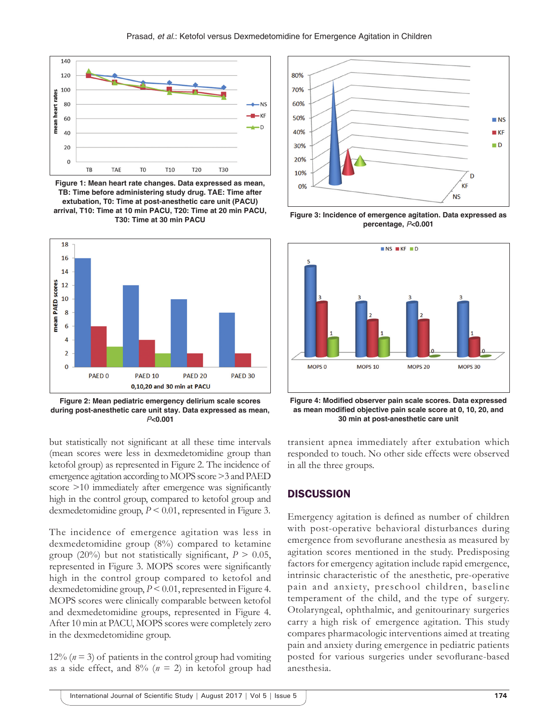

**Figure 1: Mean heart rate changes. Data expressed as mean, TB: Time before administering study drug. TAE: Time after extubation, T0: Time at post-anesthetic care unit (PACU) arrival, T10: Time at 10 min PACU, T20: Time at 20 min PACU, T30: Time at 30 min PACU**



**Figure 2: Mean pediatric emergency delirium scale scores during post-anesthetic care unit stay. Data expressed as mean,** *P***<0.001**

but statistically not significant at all these time intervals (mean scores were less in dexmedetomidine group than ketofol group) as represented in Figure 2. The incidence of emergence agitation according to MOPS score >3 and PAED score >10 immediately after emergence was significantly high in the control group, compared to ketofol group and dexmedetomidine group,  $P \leq 0.01$ , represented in Figure 3.

The incidence of emergence agitation was less in dexmedetomidine group (8%) compared to ketamine group (20%) but not statistically significant,  $P > 0.05$ , represented in Figure 3. MOPS scores were significantly high in the control group compared to ketofol and dexmedetomidine group, *P* < 0.01, represented in Figure 4. MOPS scores were clinically comparable between ketofol and dexmedetomidine groups, represented in Figure 4. After 10 min at PACU, MOPS scores were completely zero in the dexmedetomidine group.

12%  $(n=3)$  of patients in the control group had vomiting as a side effect, and  $8\%$  ( $n = 2$ ) in ketofol group had



**Figure 3: Incidence of emergence agitation. Data expressed as percentage,** *P***<0.001**



**Figure 4: Modified observer pain scale scores. Data expressed as mean modified objective pain scale score at 0, 10, 20, and 30 min at post-anesthetic care unit**

transient apnea immediately after extubation which responded to touch. No other side effects were observed in all the three groups.

## **DISCUSSION**

Emergency agitation is defined as number of children with post-operative behavioral disturbances during emergence from sevoflurane anesthesia as measured by agitation scores mentioned in the study. Predisposing factors for emergency agitation include rapid emergence, intrinsic characteristic of the anesthetic, pre-operative pain and anxiety, preschool children, baseline temperament of the child, and the type of surgery. Otolaryngeal, ophthalmic, and genitourinary surgeries carry a high risk of emergence agitation. This study compares pharmacologic interventions aimed at treating pain and anxiety during emergence in pediatric patients posted for various surgeries under sevoflurane-based anesthesia.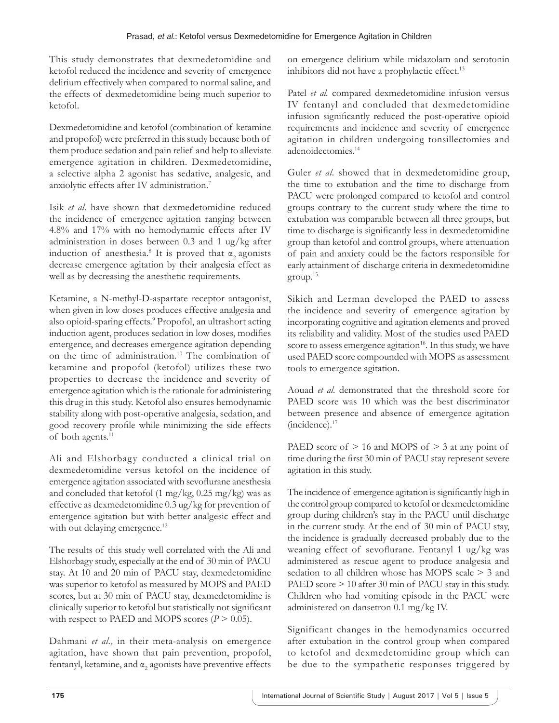This study demonstrates that dexmedetomidine and ketofol reduced the incidence and severity of emergence delirium effectively when compared to normal saline, and the effects of dexmedetomidine being much superior to ketofol.

Dexmedetomidine and ketofol (combination of ketamine and propofol) were preferred in this study because both of them produce sedation and pain relief and help to alleviate emergence agitation in children. Dexmedetomidine, a selective alpha 2 agonist has sedative, analgesic, and anxiolytic effects after IV administration.<sup>7</sup>

Isik *et al.* have shown that dexmedetomidine reduced the incidence of emergence agitation ranging between 4.8% and 17% with no hemodynamic effects after IV administration in doses between 0.3 and 1 ug/kg after induction of anesthesia.<sup>8</sup> It is proved that  $\alpha_2$  agonists decrease emergence agitation by their analgesia effect as well as by decreasing the anesthetic requirements.

Ketamine, a N-methyl-D-aspartate receptor antagonist, when given in low doses produces effective analgesia and also opioid-sparing effects.<sup>9</sup> Propofol, an ultrashort acting induction agent, produces sedation in low doses, modifies emergence, and decreases emergence agitation depending on the time of administration.10 The combination of ketamine and propofol (ketofol) utilizes these two properties to decrease the incidence and severity of emergence agitation which is the rationale for administering this drug in this study. Ketofol also ensures hemodynamic stability along with post-operative analgesia, sedation, and good recovery profile while minimizing the side effects of both agents.<sup>11</sup>

Ali and Elshorbagy conducted a clinical trial on dexmedetomidine versus ketofol on the incidence of emergence agitation associated with sevoflurane anesthesia and concluded that ketofol  $(1 \text{ mg/kg}, 0.25 \text{ mg/kg})$  was as effective as dexmedetomidine 0.3 ug/kg for prevention of emergence agitation but with better analgesic effect and with out delaying emergence.<sup>12</sup>

The results of this study well correlated with the Ali and Elshorbagy study, especially at the end of 30 min of PACU stay. At 10 and 20 min of PACU stay, dexmedetomidine was superior to ketofol as measured by MOPS and PAED scores, but at 30 min of PACU stay, dexmedetomidine is clinically superior to ketofol but statistically not significant with respect to PAED and MOPS scores  $(P > 0.05)$ .

Dahmani *et al.,* in their meta-analysis on emergence agitation, have shown that pain prevention, propofol, fentanyl, ketamine, and  $\alpha_{2}$  agonists have preventive effects on emergence delirium while midazolam and serotonin inhibitors did not have a prophylactic effect.<sup>13</sup>

Patel *et al.* compared dexmedetomidine infusion versus IV fentanyl and concluded that dexmedetomidine infusion significantly reduced the post-operative opioid requirements and incidence and severity of emergence agitation in children undergoing tonsillectomies and adenoidectomies.14

Guler *et al.* showed that in dexmedetomidine group, the time to extubation and the time to discharge from PACU were prolonged compared to ketofol and control groups contrary to the current study where the time to extubation was comparable between all three groups, but time to discharge is significantly less in dexmedetomidine group than ketofol and control groups, where attenuation of pain and anxiety could be the factors responsible for early attainment of discharge criteria in dexmedetomidine group.15

Sikich and Lerman developed the PAED to assess the incidence and severity of emergence agitation by incorporating cognitive and agitation elements and proved its reliability and validity. Most of the studies used PAED score to assess emergence agitation<sup>16</sup>. In this study, we have used PAED score compounded with MOPS as assessment tools to emergence agitation.

Aouad *et al.* demonstrated that the threshold score for PAED score was 10 which was the best discriminator between presence and absence of emergence agitation (incidence).17

PAED score of  $> 16$  and MOPS of  $> 3$  at any point of time during the first 30 min of PACU stay represent severe agitation in this study.

The incidence of emergence agitation is significantly high in the control group compared to ketofol or dexmedetomidine group during children's stay in the PACU until discharge in the current study. At the end of 30 min of PACU stay, the incidence is gradually decreased probably due to the weaning effect of sevoflurane. Fentanyl 1 ug/kg was administered as rescue agent to produce analgesia and sedation to all children whose has MOPS scale > 3 and PAED score  $> 10$  after 30 min of PACU stay in this study. Children who had vomiting episode in the PACU were administered on dansetron 0.1 mg/kg IV.

Significant changes in the hemodynamics occurred after extubation in the control group when compared to ketofol and dexmedetomidine group which can be due to the sympathetic responses triggered by